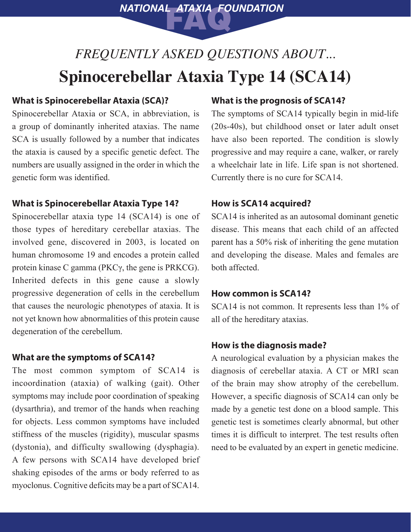*FREQUENTLY ASKED QUESTIONS ABOUT...*  **Spinocerebellar Ataxia Type 14 (SCA14)** 

**NATIONAL ATAXIA FOUNDATION** 

## **What is Spinocerebellar Ataxia (SCA)?**

Spinocerebellar Ataxia or SCA, in abbreviation, is a group of dominantly inherited ataxias. The name SCA is usually followed by a number that indicates the ataxia is caused by a specific genetic defect. The numbers are usually assigned in the order in which the genetic form was identified.

### **What is Spinocerebellar Ataxia Type 14?**

Spinocerebellar ataxia type 14 (SCA14) is one of those types of hereditary cerebellar ataxias. The involved gene, discovered in 2003, is located on human chromosome 19 and encodes a protein called protein kinase C gamma (PKCγ, the gene is PRKCG). Inherited defects in this gene cause a slowly progressive degeneration of cells in the cerebellum that causes the neurologic phenotypes of ataxia. It is not yet known how abnormalities of this protein cause degeneration of the cerebellum.

#### **What are the symptoms of SCA14?**

The most common symptom of SCA14 is incoordination (ataxia) of walking (gait). Other symptoms may include poor coordination of speaking (dysarthria), and tremor of the hands when reaching for objects. Less common symptoms have included stiffness of the muscles (rigidity), muscular spasms (dystonia), and difficulty swallowing (dysphagia). A few persons with SCA14 have developed brief shaking episodes of the arms or body referred to as myoclonus. Cognitive deficits may be a part of SCA14.

### **What is the prognosis of SCA14?**

The symptoms of SCA14 typically begin in mid-life (20s-40s), but childhood onset or later adult onset have also been reported. The condition is slowly progressive and may require a cane, walker, or rarely a wheelchair late in life. Life span is not shortened. Currently there is no cure for SCA14.

#### **How is SCA14 acquired?**

SCA14 is inherited as an autosomal dominant genetic disease. This means that each child of an affected parent has a 50% risk of inheriting the gene mutation and developing the disease. Males and females are both affected.

#### **How common is SCA14?**

SCA14 is not common. It represents less than 1% of all of the hereditary ataxias.

#### **How is the diagnosis made?**

A neurological evaluation by a physician makes the diagnosis of cerebellar ataxia. A CT or MRI scan of the brain may show atrophy of the cerebellum. However, a specific diagnosis of SCA14 can only be made by a genetic test done on a blood sample. This genetic test is sometimes clearly abnormal, but other times it is difficult to interpret. The test results often need to be evaluated by an expert in genetic medicine.